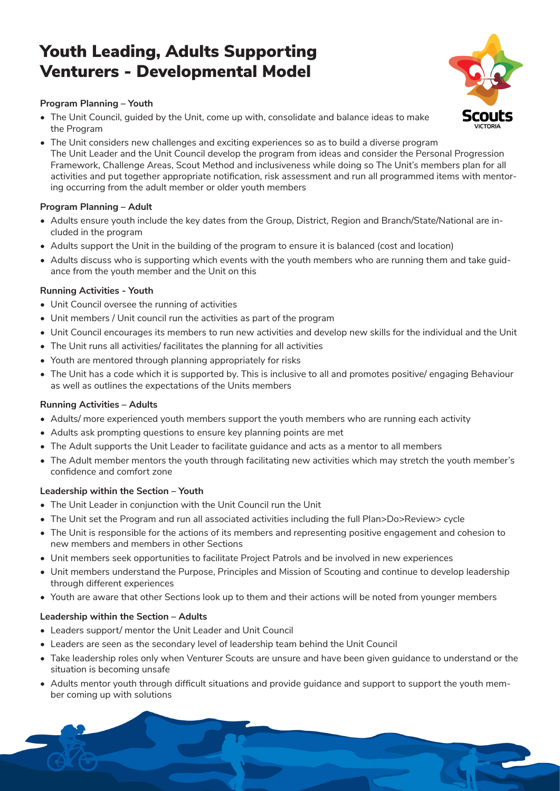# Youth Leading, Adults Supporting Venturers - Developmental Model

### **Program Planning – Youth**

- The Unit Council, guided by the Unit, come up with, consolidate and balance ideas to make the Program
- The Unit considers new challenges and exciting experiences so as to build a diverse program The Unit Leader and the Unit Council develop the program from ideas and consider the Personal Progression Framework, Challenge Areas, Scout Method and inclusiveness while doing so The Unit's members plan for all activities and put together appropriate notification, risk assessment and run all programmed items with mentoring occurring from the adult member or older youth members

# **Program Planning – Adult**

- Adults ensure youth include the key dates from the Group, District, Region and Branch/State/National are included in the program
- Adults support the Unit in the building of the program to ensure it is balanced (cost and location)
- Adults discuss who is supporting which events with the youth members who are running them and take guidance from the youth member and the Unit on this

#### **Running Activities - Youth**

- Unit Council oversee the running of activities
- Unit members / Unit council run the activities as part of the program
- Unit Council encourages its members to run new activities and develop new skills for the individual and the Unit
- The Unit runs all activities/ facilitates the planning for all activities
- Youth are mentored through planning appropriately for risks
- The Unit has a code which it is supported by. This is inclusive to all and promotes positive/ engaging Behaviour as well as outlines the expectations of the Units members

#### **Running Activities – Adults**

- Adults/ more experienced youth members support the youth members who are running each activity
- Adults ask prompting questions to ensure key planning points are met
- The Adult supports the Unit Leader to facilitate guidance and acts as a mentor to all members
- The Adult member mentors the youth through facilitating new activities which may stretch the youth member's confidence and comfort zone

#### **Leadership within the Section – Youth**

- The Unit Leader in conjunction with the Unit Council run the Unit
- The Unit set the Program and run all associated activities including the full Plan>Do>Review> cycle
- The Unit is responsible for the actions of its members and representing positive engagement and cohesion to new members and members in other Sections
- Unit members seek opportunities to facilitate Project Patrols and be involved in new experiences
- Unit members understand the Purpose, Principles and Mission of Scouting and continue to develop leadership through different experiences
- Youth are aware that other Sections look up to them and their actions will be noted from younger members

# **Leadership within the Section – Adults**

- Leaders support/ mentor the Unit Leader and Unit Council
- Leaders are seen as the secondary level of leadership team behind the Unit Council
- Take leadership roles only when Venturer Scouts are unsure and have been given guidance to understand or the situation is becoming unsafe
- Adults mentor youth through difficult situations and provide guidance and support to support the youth member coming up with solutions



1